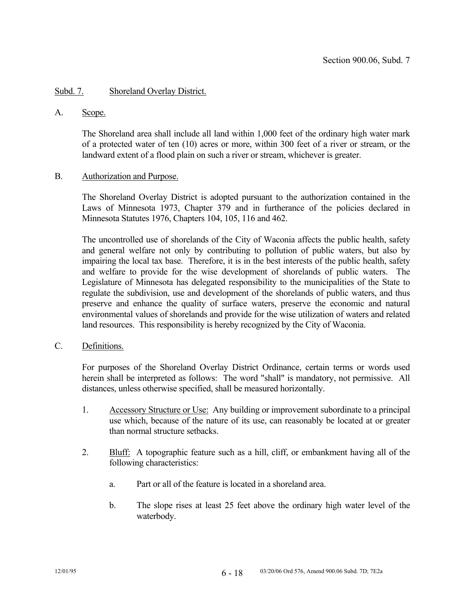## Subd. 7. Shoreland Overlay District.

#### A. Scope.

 The Shoreland area shall include all land within 1,000 feet of the ordinary high water mark of a protected water of ten (10) acres or more, within 300 feet of a river or stream, or the landward extent of a flood plain on such a river or stream, whichever is greater.

### B. Authorization and Purpose.

 The Shoreland Overlay District is adopted pursuant to the authorization contained in the Laws of Minnesota 1973, Chapter 379 and in furtherance of the policies declared in Minnesota Statutes 1976, Chapters 104, 105, 116 and 462.

 The uncontrolled use of shorelands of the City of Waconia affects the public health, safety and general welfare not only by contributing to pollution of public waters, but also by impairing the local tax base. Therefore, it is in the best interests of the public health, safety and welfare to provide for the wise development of shorelands of public waters. The Legislature of Minnesota has delegated responsibility to the municipalities of the State to regulate the subdivision, use and development of the shorelands of public waters, and thus preserve and enhance the quality of surface waters, preserve the economic and natural environmental values of shorelands and provide for the wise utilization of waters and related land resources. This responsibility is hereby recognized by the City of Waconia.

### C. Definitions.

 For purposes of the Shoreland Overlay District Ordinance, certain terms or words used herein shall be interpreted as follows: The word "shall" is mandatory, not permissive. All distances, unless otherwise specified, shall be measured horizontally.

- 1. Accessory Structure or Use: Any building or improvement subordinate to a principal use which, because of the nature of its use, can reasonably be located at or greater than normal structure setbacks.
- 2. Bluff: A topographic feature such as a hill, cliff, or embankment having all of the following characteristics:
	- a. Part or all of the feature is located in a shoreland area.
	- b. The slope rises at least 25 feet above the ordinary high water level of the waterbody.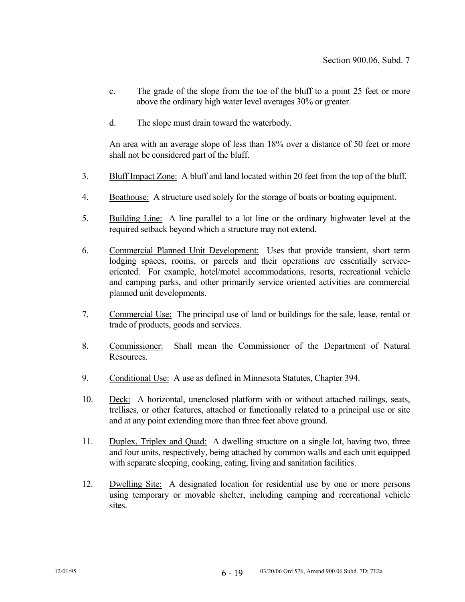- c. The grade of the slope from the toe of the bluff to a point 25 feet or more above the ordinary high water level averages 30% or greater.
- d. The slope must drain toward the waterbody.

 An area with an average slope of less than 18% over a distance of 50 feet or more shall not be considered part of the bluff.

- 3. Bluff Impact Zone: A bluff and land located within 20 feet from the top of the bluff.
- 4. Boathouse: A structure used solely for the storage of boats or boating equipment.
- 5. Building Line: A line parallel to a lot line or the ordinary highwater level at the required setback beyond which a structure may not extend.
- 6. Commercial Planned Unit Development: Uses that provide transient, short term lodging spaces, rooms, or parcels and their operations are essentially serviceoriented. For example, hotel/motel accommodations, resorts, recreational vehicle and camping parks, and other primarily service oriented activities are commercial planned unit developments.
- 7. Commercial Use: The principal use of land or buildings for the sale, lease, rental or trade of products, goods and services.
- 8. Commissioner: Shall mean the Commissioner of the Department of Natural **Resources**
- 9. Conditional Use: A use as defined in Minnesota Statutes, Chapter 394.
- 10. Deck: A horizontal, unenclosed platform with or without attached railings, seats, trellises, or other features, attached or functionally related to a principal use or site and at any point extending more than three feet above ground.
- 11. Duplex, Triplex and Quad: A dwelling structure on a single lot, having two, three and four units, respectively, being attached by common walls and each unit equipped with separate sleeping, cooking, eating, living and sanitation facilities.
- 12. Dwelling Site: A designated location for residential use by one or more persons using temporary or movable shelter, including camping and recreational vehicle sites.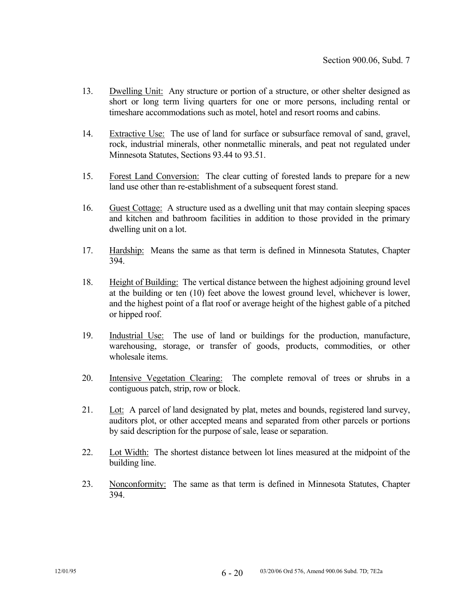- 13. Dwelling Unit: Any structure or portion of a structure, or other shelter designed as short or long term living quarters for one or more persons, including rental or timeshare accommodations such as motel, hotel and resort rooms and cabins.
- 14. Extractive Use: The use of land for surface or subsurface removal of sand, gravel, rock, industrial minerals, other nonmetallic minerals, and peat not regulated under Minnesota Statutes, Sections 93.44 to 93.51.
- 15. Forest Land Conversion: The clear cutting of forested lands to prepare for a new land use other than re-establishment of a subsequent forest stand.
- 16. Guest Cottage: A structure used as a dwelling unit that may contain sleeping spaces and kitchen and bathroom facilities in addition to those provided in the primary dwelling unit on a lot.
- 17. Hardship: Means the same as that term is defined in Minnesota Statutes, Chapter 394.
- 18. Height of Building: The vertical distance between the highest adjoining ground level at the building or ten (10) feet above the lowest ground level, whichever is lower, and the highest point of a flat roof or average height of the highest gable of a pitched or hipped roof.
- 19. Industrial Use: The use of land or buildings for the production, manufacture, warehousing, storage, or transfer of goods, products, commodities, or other wholesale items.
- 20. Intensive Vegetation Clearing: The complete removal of trees or shrubs in a contiguous patch, strip, row or block.
- 21. Lot: A parcel of land designated by plat, metes and bounds, registered land survey, auditors plot, or other accepted means and separated from other parcels or portions by said description for the purpose of sale, lease or separation.
- 22. Lot Width: The shortest distance between lot lines measured at the midpoint of the building line.
- 23. Nonconformity: The same as that term is defined in Minnesota Statutes, Chapter 394.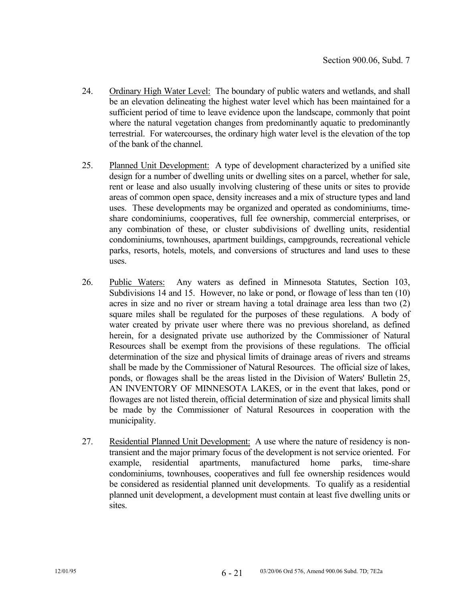- 24. Ordinary High Water Level: The boundary of public waters and wetlands, and shall be an elevation delineating the highest water level which has been maintained for a sufficient period of time to leave evidence upon the landscape, commonly that point where the natural vegetation changes from predominantly aquatic to predominantly terrestrial. For watercourses, the ordinary high water level is the elevation of the top of the bank of the channel.
- 25. Planned Unit Development: A type of development characterized by a unified site design for a number of dwelling units or dwelling sites on a parcel, whether for sale, rent or lease and also usually involving clustering of these units or sites to provide areas of common open space, density increases and a mix of structure types and land uses. These developments may be organized and operated as condominiums, timeshare condominiums, cooperatives, full fee ownership, commercial enterprises, or any combination of these, or cluster subdivisions of dwelling units, residential condominiums, townhouses, apartment buildings, campgrounds, recreational vehicle parks, resorts, hotels, motels, and conversions of structures and land uses to these uses.
- 26. Public Waters: Any waters as defined in Minnesota Statutes, Section 103, Subdivisions 14 and 15. However, no lake or pond, or flowage of less than ten (10) acres in size and no river or stream having a total drainage area less than two (2) square miles shall be regulated for the purposes of these regulations. A body of water created by private user where there was no previous shoreland, as defined herein, for a designated private use authorized by the Commissioner of Natural Resources shall be exempt from the provisions of these regulations. The official determination of the size and physical limits of drainage areas of rivers and streams shall be made by the Commissioner of Natural Resources. The official size of lakes, ponds, or flowages shall be the areas listed in the Division of Waters' Bulletin 25, AN INVENTORY OF MINNESOTA LAKES, or in the event that lakes, pond or flowages are not listed therein, official determination of size and physical limits shall be made by the Commissioner of Natural Resources in cooperation with the municipality.
- 27. Residential Planned Unit Development: A use where the nature of residency is nontransient and the major primary focus of the development is not service oriented. For example, residential apartments, manufactured home parks, time-share condominiums, townhouses, cooperatives and full fee ownership residences would be considered as residential planned unit developments. To qualify as a residential planned unit development, a development must contain at least five dwelling units or sites.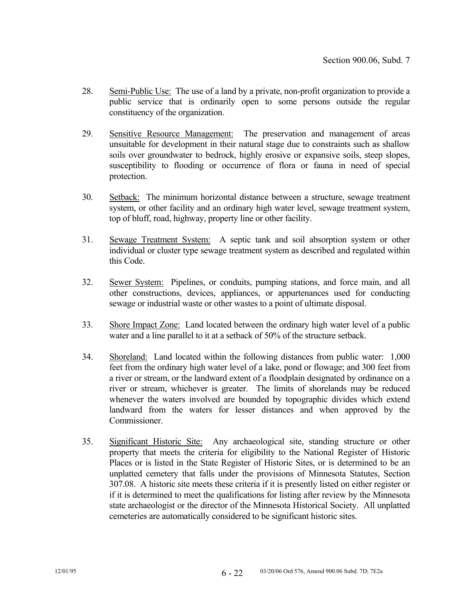- 28. Semi-Public Use: The use of a land by a private, non-profit organization to provide a public service that is ordinarily open to some persons outside the regular constituency of the organization.
- 29. Sensitive Resource Management: The preservation and management of areas unsuitable for development in their natural stage due to constraints such as shallow soils over groundwater to bedrock, highly erosive or expansive soils, steep slopes, susceptibility to flooding or occurrence of flora or fauna in need of special protection.
- 30. Setback: The minimum horizontal distance between a structure, sewage treatment system, or other facility and an ordinary high water level, sewage treatment system, top of bluff, road, highway, property line or other facility.
- 31. Sewage Treatment System: A septic tank and soil absorption system or other individual or cluster type sewage treatment system as described and regulated within this Code.
- 32. Sewer System: Pipelines, or conduits, pumping stations, and force main, and all other constructions, devices, appliances, or appurtenances used for conducting sewage or industrial waste or other wastes to a point of ultimate disposal.
- 33. Shore Impact Zone: Land located between the ordinary high water level of a public water and a line parallel to it at a setback of 50% of the structure setback.
- 34. Shoreland: Land located within the following distances from public water: 1,000 feet from the ordinary high water level of a lake, pond or flowage; and 300 feet from a river or stream, or the landward extent of a floodplain designated by ordinance on a river or stream, whichever is greater. The limits of shorelands may be reduced whenever the waters involved are bounded by topographic divides which extend landward from the waters for lesser distances and when approved by the Commissioner.
- 35. Significant Historic Site: Any archaeological site, standing structure or other property that meets the criteria for eligibility to the National Register of Historic Places or is listed in the State Register of Historic Sites, or is determined to be an unplatted cemetery that falls under the provisions of Minnesota Statutes, Section 307.08. A historic site meets these criteria if it is presently listed on either register or if it is determined to meet the qualifications for listing after review by the Minnesota state archaeologist or the director of the Minnesota Historical Society. All unplatted cemeteries are automatically considered to be significant historic sites.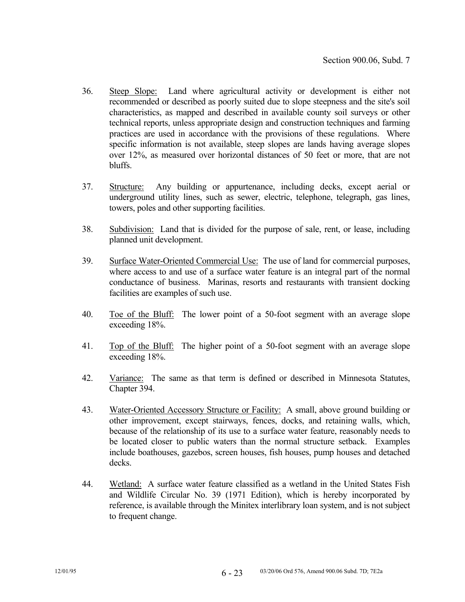- 36. Steep Slope: Land where agricultural activity or development is either not recommended or described as poorly suited due to slope steepness and the site's soil characteristics, as mapped and described in available county soil surveys or other technical reports, unless appropriate design and construction techniques and farming practices are used in accordance with the provisions of these regulations. Where specific information is not available, steep slopes are lands having average slopes over 12%, as measured over horizontal distances of 50 feet or more, that are not bluffs.
- 37. Structure: Any building or appurtenance, including decks, except aerial or underground utility lines, such as sewer, electric, telephone, telegraph, gas lines, towers, poles and other supporting facilities.
- 38. Subdivision: Land that is divided for the purpose of sale, rent, or lease, including planned unit development.
- 39. Surface Water-Oriented Commercial Use: The use of land for commercial purposes, where access to and use of a surface water feature is an integral part of the normal conductance of business. Marinas, resorts and restaurants with transient docking facilities are examples of such use.
- 40. Toe of the Bluff: The lower point of a 50-foot segment with an average slope exceeding 18%.
- 41. Top of the Bluff: The higher point of a 50-foot segment with an average slope exceeding 18%.
- 42. Variance: The same as that term is defined or described in Minnesota Statutes, Chapter 394.
- 43. Water-Oriented Accessory Structure or Facility: A small, above ground building or other improvement, except stairways, fences, docks, and retaining walls, which, because of the relationship of its use to a surface water feature, reasonably needs to be located closer to public waters than the normal structure setback. Examples include boathouses, gazebos, screen houses, fish houses, pump houses and detached decks.
- 44. Wetland: A surface water feature classified as a wetland in the United States Fish and Wildlife Circular No. 39 (1971 Edition), which is hereby incorporated by reference, is available through the Minitex interlibrary loan system, and is not subject to frequent change.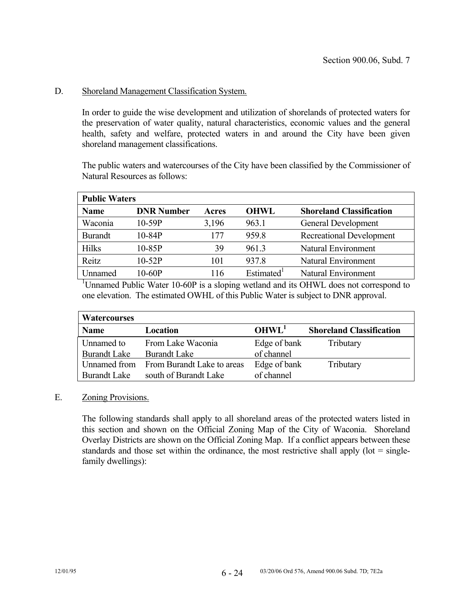## D. Shoreland Management Classification System.

 In order to guide the wise development and utilization of shorelands of protected waters for the preservation of water quality, natural characteristics, economic values and the general health, safety and welfare, protected waters in and around the City have been given shoreland management classifications.

 The public waters and watercourses of the City have been classified by the Commissioner of Natural Resources as follows:

| <b>Public Waters</b> |                   |       |                        |                                 |  |
|----------------------|-------------------|-------|------------------------|---------------------------------|--|
| <b>Name</b>          | <b>DNR Number</b> | Acres | <b>OHWL</b>            | <b>Shoreland Classification</b> |  |
| Waconia              | $10-59P$          | 3,196 | 963.1                  | General Development             |  |
| <b>Burandt</b>       | $10-84P$          | 177   | 959.8                  | Recreational Development        |  |
| <b>Hilks</b>         | 10-85P            | 39    | 961.3                  | Natural Environment             |  |
| Reitz                | $10-52P$          | 101   | 937.8                  | <b>Natural Environment</b>      |  |
| <b>Jnnamed</b>       | 10-60P            | 116   | Estimated <sup>1</sup> | Natural Environment             |  |

<sup>1</sup>Unnamed Public Water 10-60P is a sloping wetland and its OHWL does not correspond to one elevation. The estimated OWHL of this Public Water is subject to DNR approval.

| <b>Watercourses</b> |                            |                   |                                 |
|---------------------|----------------------------|-------------------|---------------------------------|
| <b>Name</b>         | Location                   | OHWL <sup>1</sup> | <b>Shoreland Classification</b> |
| Unnamed to          | From Lake Waconia          | Edge of bank      | Tributary                       |
| <b>Burandt Lake</b> | <b>Burandt Lake</b>        | of channel        |                                 |
| Unnamed from        | From Burandt Lake to areas | Edge of bank      | Tributary                       |
| <b>Burandt Lake</b> | south of Burandt Lake      | of channel        |                                 |

### E. Zoning Provisions.

 The following standards shall apply to all shoreland areas of the protected waters listed in this section and shown on the Official Zoning Map of the City of Waconia. Shoreland Overlay Districts are shown on the Official Zoning Map. If a conflict appears between these standards and those set within the ordinance, the most restrictive shall apply ( $\text{lot} = \text{single}$ family dwellings):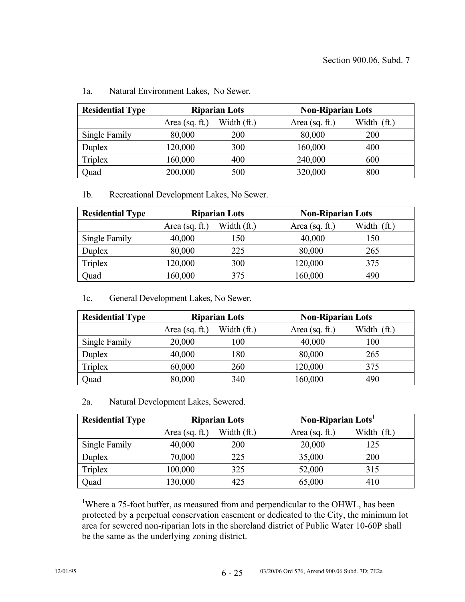| <b>Residential Type</b> | <b>Riparian Lots</b> |             | <b>Non-Riparian Lots</b> |             |
|-------------------------|----------------------|-------------|--------------------------|-------------|
|                         | Area (sq. $ft.$ )    | Width (ft.) | Area $(sq. ft.)$         | Width (ft.) |
| Single Family           | 80,000               | 200         | 80,000                   | 200         |
| Duplex                  | 120,000              | 300         | 160,000                  | 400         |
| <b>Triplex</b>          | 160,000              | 400         | 240,000                  | 600         |
| Quad                    | 200,000              | 500         | 320,000                  | 800         |

### 1a. Natural Environment Lakes, No Sewer.

1b. Recreational Development Lakes, No Sewer.

| <b>Residential Type</b> | <b>Riparian Lots</b> |             | <b>Non-Riparian Lots</b> |             |
|-------------------------|----------------------|-------------|--------------------------|-------------|
|                         | Area $(sq. ft.)$     | Width (ft.) | Area (sq. $ft$ .)        | Width (ft.) |
| Single Family           | 40,000               | 150         | 40,000                   | 150         |
| Duplex                  | 80,000               | 225         | 80,000                   | 265         |
| Triplex                 | 120,000              | 300         | 120,000                  | 375         |
| Quad                    | 160,000              | 375         | 160,000                  | 490         |

1c. General Development Lakes, No Sewer.

| <b>Residential Type</b> | <b>Riparian Lots</b> |             | <b>Non-Riparian Lots</b> |             |
|-------------------------|----------------------|-------------|--------------------------|-------------|
|                         | Area $(sq. ft.)$     | Width (ft.) | Area $(sq. ft.)$         | Width (ft.) |
| Single Family           | 20,000               | 100         | 40,000                   | 100         |
| Duplex                  | 40,000               | 180         | 80,000                   | 265         |
| Triplex                 | 60,000               | 260         | 120,000                  | 375         |
| Quad                    | 80,000               | 340         | 160,000                  | 490         |

2a. Natural Development Lakes, Sewered.

| <b>Residential Type</b> | <b>Riparian Lots</b> |             | Non-Riparian Lots <sup>1</sup> |             |
|-------------------------|----------------------|-------------|--------------------------------|-------------|
|                         | Area (sq. $ft.$ )    | Width (ft.) | Area $(sq. ft.)$               | Width (ft.) |
| Single Family           | 40,000               | <b>200</b>  | 20,000                         | 125         |
| Duplex                  | 70,000               | 225         | 35,000                         | 200         |
| Triplex                 | 100,000              | 325         | 52,000                         | 315         |
| Quad                    | 130,000              | 425         | 65,000                         | 410         |

<sup>1</sup>Where a 75-foot buffer, as measured from and perpendicular to the OHWL, has been protected by a perpetual conservation easement or dedicated to the City, the minimum lot area for sewered non-riparian lots in the shoreland district of Public Water 10-60P shall be the same as the underlying zoning district.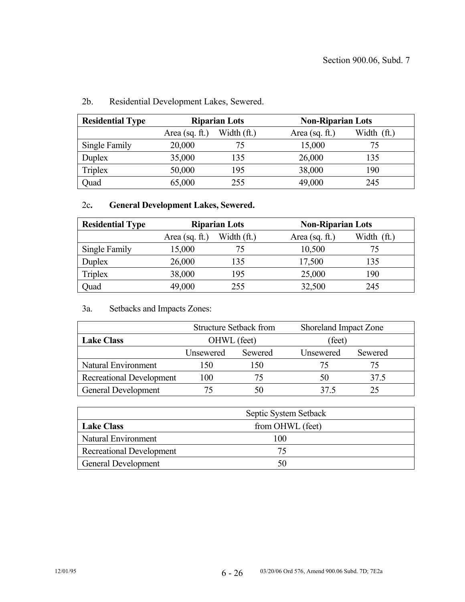| <b>Residential Type</b> | <b>Riparian Lots</b> |             | <b>Non-Riparian Lots</b> |             |
|-------------------------|----------------------|-------------|--------------------------|-------------|
|                         | Area $(sq. ft.)$     | Width (ft.) | Area (sq. $ft$ .)        | Width (ft.) |
| Single Family           | 20,000               | 75          | 15,000                   | 75          |
| Duplex                  | 35,000               | 135         | 26,000                   | 135         |
| <b>Triplex</b>          | 50,000               | 195         | 38,000                   | 190         |
| Quad                    | 65,000               | 255         | 49,000                   | 245         |

# 2b. Residential Development Lakes, Sewered.

# 2c**. General Development Lakes, Sewered.**

| <b>Residential Type</b> | <b>Riparian Lots</b> |             | <b>Non-Riparian Lots</b> |             |
|-------------------------|----------------------|-------------|--------------------------|-------------|
|                         | Area $(sq. ft.)$     | Width (ft.) | Area $(sq. ft.)$         | Width (ft.) |
| Single Family           | 15,000               | 75          | 10,500                   | 75          |
| Duplex                  | 26,000               | 135         | 17,500                   | 135         |
| <b>Triplex</b>          | 38,000               | 195         | 25,000                   | 190         |
| Quad                    | 49,000               | 255         | 32,500                   | 245         |

## 3a. Setbacks and Impacts Zones:

|                                 | <b>Structure Setback from</b> |         | Shoreland Impact Zone |         |
|---------------------------------|-------------------------------|---------|-----------------------|---------|
| <b>Lake Class</b>               | OHWL (feet)                   |         | (feet)                |         |
|                                 | Unsewered                     | Sewered | Unsewered             | Sewered |
| Natural Environment             | 15O                           | 150     | 75                    |         |
| <b>Recreational Development</b> | 100                           | 75      | 50                    | 37.5    |
| General Development             |                               | 50      | 37 5                  |         |

|                                 | Septic System Setback |
|---------------------------------|-----------------------|
| <b>Lake Class</b>               | from OHWL (feet)      |
| Natural Environment             | 100                   |
| <b>Recreational Development</b> |                       |
| <b>General Development</b>      |                       |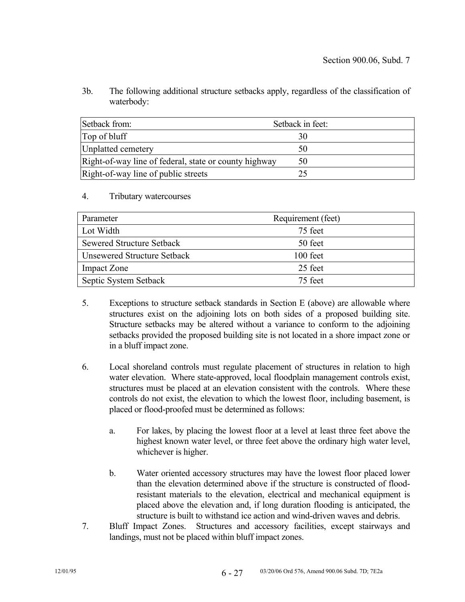3b. The following additional structure setbacks apply, regardless of the classification of waterbody:

| Setback from:                                         | Setback in feet: |
|-------------------------------------------------------|------------------|
| Top of bluff                                          |                  |
| Unplatted cemetery                                    | 50               |
| Right-of-way line of federal, state or county highway | 50               |
| Right-of-way line of public streets                   |                  |

#### 4. Tributary watercourses

| Parameter                        | Requirement (feet) |
|----------------------------------|--------------------|
| Lot Width                        | 75 feet            |
| <b>Sewered Structure Setback</b> | 50 feet            |
| Unsewered Structure Setback      | 100 feet           |
| <b>Impact Zone</b>               | 25 feet            |
| Septic System Setback            | 75 feet            |

- 5. Exceptions to structure setback standards in Section E (above) are allowable where structures exist on the adjoining lots on both sides of a proposed building site. Structure setbacks may be altered without a variance to conform to the adjoining setbacks provided the proposed building site is not located in a shore impact zone or in a bluff impact zone.
- 6. Local shoreland controls must regulate placement of structures in relation to high water elevation. Where state-approved, local floodplain management controls exist, structures must be placed at an elevation consistent with the controls. Where these controls do not exist, the elevation to which the lowest floor, including basement, is placed or flood-proofed must be determined as follows:
	- a. For lakes, by placing the lowest floor at a level at least three feet above the highest known water level, or three feet above the ordinary high water level, whichever is higher.
	- b. Water oriented accessory structures may have the lowest floor placed lower than the elevation determined above if the structure is constructed of floodresistant materials to the elevation, electrical and mechanical equipment is placed above the elevation and, if long duration flooding is anticipated, the structure is built to withstand ice action and wind-driven waves and debris.
- 7. Bluff Impact Zones. Structures and accessory facilities, except stairways and landings, must not be placed within bluff impact zones.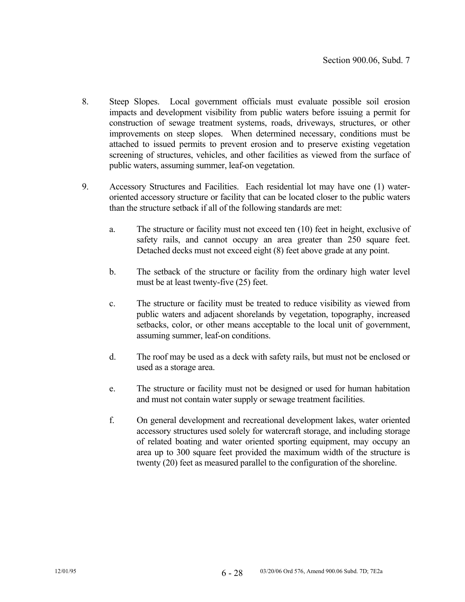- 8. Steep Slopes. Local government officials must evaluate possible soil erosion impacts and development visibility from public waters before issuing a permit for construction of sewage treatment systems, roads, driveways, structures, or other improvements on steep slopes. When determined necessary, conditions must be attached to issued permits to prevent erosion and to preserve existing vegetation screening of structures, vehicles, and other facilities as viewed from the surface of public waters, assuming summer, leaf-on vegetation.
- 9. Accessory Structures and Facilities. Each residential lot may have one (1) wateroriented accessory structure or facility that can be located closer to the public waters than the structure setback if all of the following standards are met:
	- a. The structure or facility must not exceed ten (10) feet in height, exclusive of safety rails, and cannot occupy an area greater than 250 square feet. Detached decks must not exceed eight (8) feet above grade at any point.
	- b. The setback of the structure or facility from the ordinary high water level must be at least twenty-five (25) feet.
	- c. The structure or facility must be treated to reduce visibility as viewed from public waters and adjacent shorelands by vegetation, topography, increased setbacks, color, or other means acceptable to the local unit of government, assuming summer, leaf-on conditions.
	- d. The roof may be used as a deck with safety rails, but must not be enclosed or used as a storage area.
	- e. The structure or facility must not be designed or used for human habitation and must not contain water supply or sewage treatment facilities.
	- f. On general development and recreational development lakes, water oriented accessory structures used solely for watercraft storage, and including storage of related boating and water oriented sporting equipment, may occupy an area up to 300 square feet provided the maximum width of the structure is twenty (20) feet as measured parallel to the configuration of the shoreline.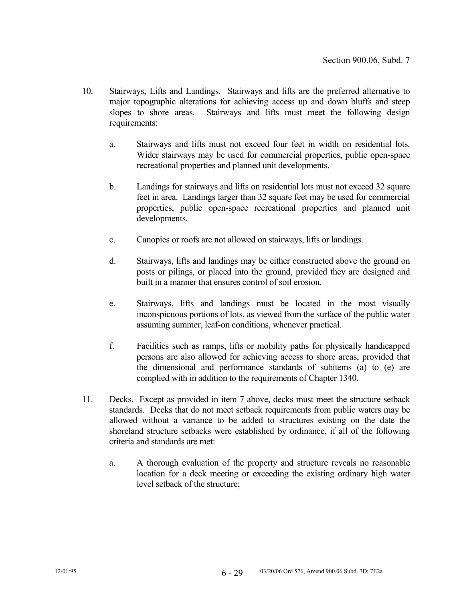- 10. Stairways, Lifts and Landings. Stairways and lifts are the preferred alternative to major topographic alterations for achieving access up and down bluffs and steep slopes to shore areas. Stairways and lifts must meet the following design requirements:
	- a. Stairways and lifts must not exceed four feet in width on residential lots. Wider stairways may be used for commercial properties, public open-space recreational properties and planned unit developments.
	- b. Landings for stairways and lifts on residential lots must not exceed 32 square feet in area. Landings larger than 32 square feet may be used for commercial properties, public open-space recreational properties and planned unit developments.
	- c. Canopies or roofs are not allowed on stairways, lifts or landings.
	- d. Stairways, lifts and landings may be either constructed above the ground on posts or pilings, or placed into the ground, provided they are designed and built in a manner that ensures control of soil erosion.
	- e. Stairways, lifts and landings must be located in the most visually inconspicuous portions of lots, as viewed from the surface of the public water assuming summer, leaf-on conditions, whenever practical.
	- f. Facilities such as ramps, lifts or mobility paths for physically handicapped persons are also allowed for achieving access to shore areas, provided that the dimensional and performance standards of subitems (a) to (e) are complied with in addition to the requirements of Chapter 1340.
- 11. Decks. Except as provided in item 7 above, decks must meet the structure setback standards. Decks that do not meet setback requirements from public waters may be allowed without a variance to be added to structures existing on the date the shoreland structure setbacks were established by ordinance, if all of the following criteria and standards are met:
	- a. A thorough evaluation of the property and structure reveals no reasonable location for a deck meeting or exceeding the existing ordinary high water level setback of the structure;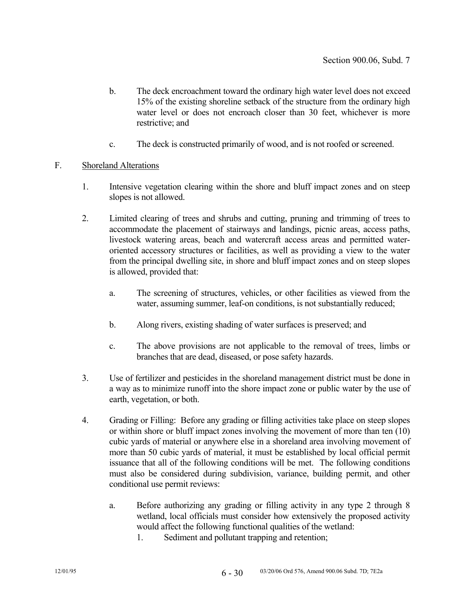- b. The deck encroachment toward the ordinary high water level does not exceed 15% of the existing shoreline setback of the structure from the ordinary high water level or does not encroach closer than 30 feet, whichever is more restrictive; and
- c. The deck is constructed primarily of wood, and is not roofed or screened.

### F. Shoreland Alterations

- 1. Intensive vegetation clearing within the shore and bluff impact zones and on steep slopes is not allowed.
- 2. Limited clearing of trees and shrubs and cutting, pruning and trimming of trees to accommodate the placement of stairways and landings, picnic areas, access paths, livestock watering areas, beach and watercraft access areas and permitted wateroriented accessory structures or facilities, as well as providing a view to the water from the principal dwelling site, in shore and bluff impact zones and on steep slopes is allowed, provided that:
	- a. The screening of structures, vehicles, or other facilities as viewed from the water, assuming summer, leaf-on conditions, is not substantially reduced;
	- b. Along rivers, existing shading of water surfaces is preserved; and
	- c. The above provisions are not applicable to the removal of trees, limbs or branches that are dead, diseased, or pose safety hazards.
- 3. Use of fertilizer and pesticides in the shoreland management district must be done in a way as to minimize runoff into the shore impact zone or public water by the use of earth, vegetation, or both.
- 4. Grading or Filling: Before any grading or filling activities take place on steep slopes or within shore or bluff impact zones involving the movement of more than ten (10) cubic yards of material or anywhere else in a shoreland area involving movement of more than 50 cubic yards of material, it must be established by local official permit issuance that all of the following conditions will be met. The following conditions must also be considered during subdivision, variance, building permit, and other conditional use permit reviews:
	- a. Before authorizing any grading or filling activity in any type 2 through 8 wetland, local officials must consider how extensively the proposed activity would affect the following functional qualities of the wetland:
		- 1. Sediment and pollutant trapping and retention;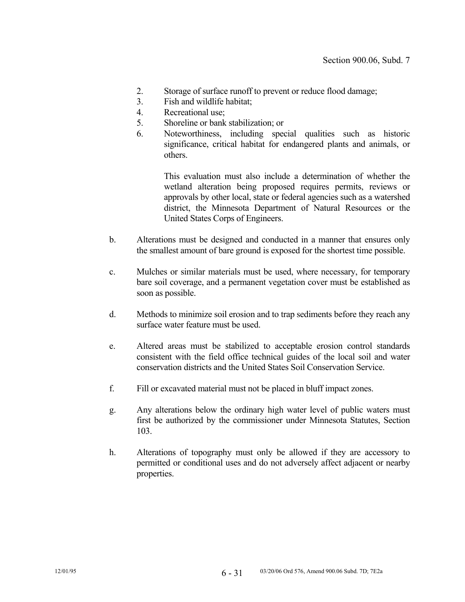- 2. Storage of surface runoff to prevent or reduce flood damage;
- 3. Fish and wildlife habitat;
- 4. Recreational use;
- 5. Shoreline or bank stabilization; or
- 6. Noteworthiness, including special qualities such as historic significance, critical habitat for endangered plants and animals, or others.

 This evaluation must also include a determination of whether the wetland alteration being proposed requires permits, reviews or approvals by other local, state or federal agencies such as a watershed district, the Minnesota Department of Natural Resources or the United States Corps of Engineers.

- b. Alterations must be designed and conducted in a manner that ensures only the smallest amount of bare ground is exposed for the shortest time possible.
- c. Mulches or similar materials must be used, where necessary, for temporary bare soil coverage, and a permanent vegetation cover must be established as soon as possible.
- d. Methods to minimize soil erosion and to trap sediments before they reach any surface water feature must be used.
- e. Altered areas must be stabilized to acceptable erosion control standards consistent with the field office technical guides of the local soil and water conservation districts and the United States Soil Conservation Service.
- f. Fill or excavated material must not be placed in bluff impact zones.
- g. Any alterations below the ordinary high water level of public waters must first be authorized by the commissioner under Minnesota Statutes, Section 103.
- h. Alterations of topography must only be allowed if they are accessory to permitted or conditional uses and do not adversely affect adjacent or nearby properties.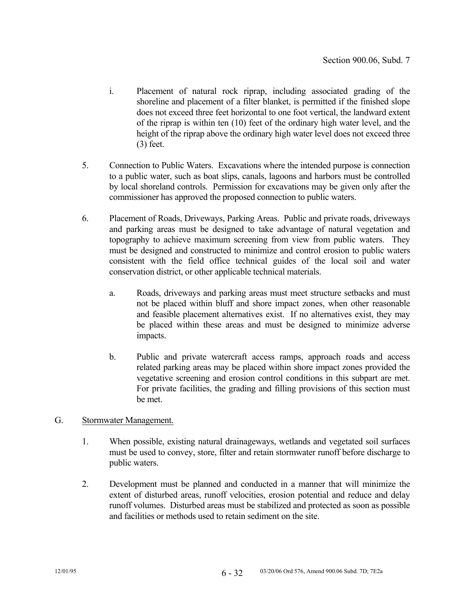- i. Placement of natural rock riprap, including associated grading of the shoreline and placement of a filter blanket, is permitted if the finished slope does not exceed three feet horizontal to one foot vertical, the landward extent of the riprap is within ten (10) feet of the ordinary high water level, and the height of the riprap above the ordinary high water level does not exceed three (3) feet.
- 5. Connection to Public Waters. Excavations where the intended purpose is connection to a public water, such as boat slips, canals, lagoons and harbors must be controlled by local shoreland controls. Permission for excavations may be given only after the commissioner has approved the proposed connection to public waters.
- 6. Placement of Roads, Driveways, Parking Areas. Public and private roads, driveways and parking areas must be designed to take advantage of natural vegetation and topography to achieve maximum screening from view from public waters. They must be designed and constructed to minimize and control erosion to public waters consistent with the field office technical guides of the local soil and water conservation district, or other applicable technical materials.
	- a. Roads, driveways and parking areas must meet structure setbacks and must not be placed within bluff and shore impact zones, when other reasonable and feasible placement alternatives exist. If no alternatives exist, they may be placed within these areas and must be designed to minimize adverse impacts.
	- b. Public and private watercraft access ramps, approach roads and access related parking areas may be placed within shore impact zones provided the vegetative screening and erosion control conditions in this subpart are met. For private facilities, the grading and filling provisions of this section must be met.
- G. Stormwater Management.
	- 1. When possible, existing natural drainageways, wetlands and vegetated soil surfaces must be used to convey, store, filter and retain stormwater runoff before discharge to public waters.
	- 2. Development must be planned and conducted in a manner that will minimize the extent of disturbed areas, runoff velocities, erosion potential and reduce and delay runoff volumes. Disturbed areas must be stabilized and protected as soon as possible and facilities or methods used to retain sediment on the site.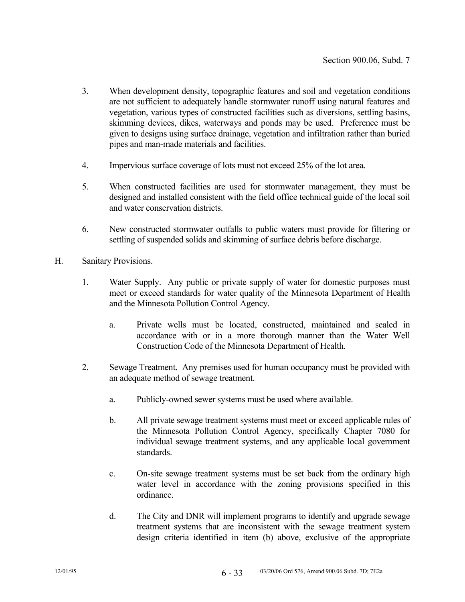- 3. When development density, topographic features and soil and vegetation conditions are not sufficient to adequately handle stormwater runoff using natural features and vegetation, various types of constructed facilities such as diversions, settling basins, skimming devices, dikes, waterways and ponds may be used. Preference must be given to designs using surface drainage, vegetation and infiltration rather than buried pipes and man-made materials and facilities.
- 4. Impervious surface coverage of lots must not exceed 25% of the lot area.
- 5. When constructed facilities are used for stormwater management, they must be designed and installed consistent with the field office technical guide of the local soil and water conservation districts.
- 6. New constructed stormwater outfalls to public waters must provide for filtering or settling of suspended solids and skimming of surface debris before discharge.

### H. Sanitary Provisions.

- 1. Water Supply. Any public or private supply of water for domestic purposes must meet or exceed standards for water quality of the Minnesota Department of Health and the Minnesota Pollution Control Agency.
	- a. Private wells must be located, constructed, maintained and sealed in accordance with or in a more thorough manner than the Water Well Construction Code of the Minnesota Department of Health.
- 2. Sewage Treatment. Any premises used for human occupancy must be provided with an adequate method of sewage treatment.
	- a. Publicly-owned sewer systems must be used where available.
	- b. All private sewage treatment systems must meet or exceed applicable rules of the Minnesota Pollution Control Agency, specifically Chapter 7080 for individual sewage treatment systems, and any applicable local government standards.
	- c. On-site sewage treatment systems must be set back from the ordinary high water level in accordance with the zoning provisions specified in this ordinance.
	- d. The City and DNR will implement programs to identify and upgrade sewage treatment systems that are inconsistent with the sewage treatment system design criteria identified in item (b) above, exclusive of the appropriate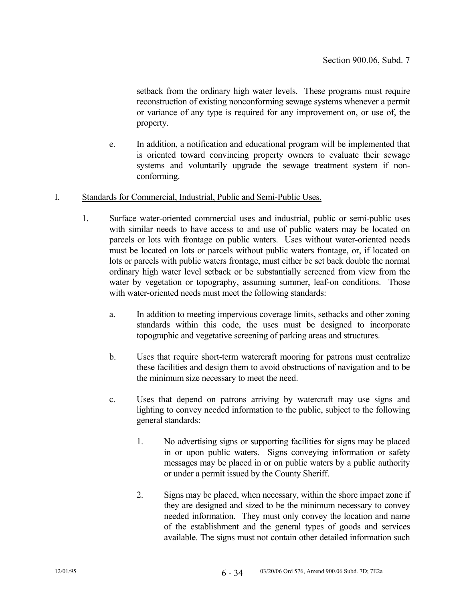setback from the ordinary high water levels. These programs must require reconstruction of existing nonconforming sewage systems whenever a permit or variance of any type is required for any improvement on, or use of, the property.

- e. In addition, a notification and educational program will be implemented that is oriented toward convincing property owners to evaluate their sewage systems and voluntarily upgrade the sewage treatment system if nonconforming.
- I. Standards for Commercial, Industrial, Public and Semi-Public Uses.
	- 1. Surface water-oriented commercial uses and industrial, public or semi-public uses with similar needs to have access to and use of public waters may be located on parcels or lots with frontage on public waters. Uses without water-oriented needs must be located on lots or parcels without public waters frontage, or, if located on lots or parcels with public waters frontage, must either be set back double the normal ordinary high water level setback or be substantially screened from view from the water by vegetation or topography, assuming summer, leaf-on conditions. Those with water-oriented needs must meet the following standards:
		- a. In addition to meeting impervious coverage limits, setbacks and other zoning standards within this code, the uses must be designed to incorporate topographic and vegetative screening of parking areas and structures.
		- b. Uses that require short-term watercraft mooring for patrons must centralize these facilities and design them to avoid obstructions of navigation and to be the minimum size necessary to meet the need.
		- c. Uses that depend on patrons arriving by watercraft may use signs and lighting to convey needed information to the public, subject to the following general standards:
			- 1. No advertising signs or supporting facilities for signs may be placed in or upon public waters. Signs conveying information or safety messages may be placed in or on public waters by a public authority or under a permit issued by the County Sheriff.
			- 2. Signs may be placed, when necessary, within the shore impact zone if they are designed and sized to be the minimum necessary to convey needed information. They must only convey the location and name of the establishment and the general types of goods and services available. The signs must not contain other detailed information such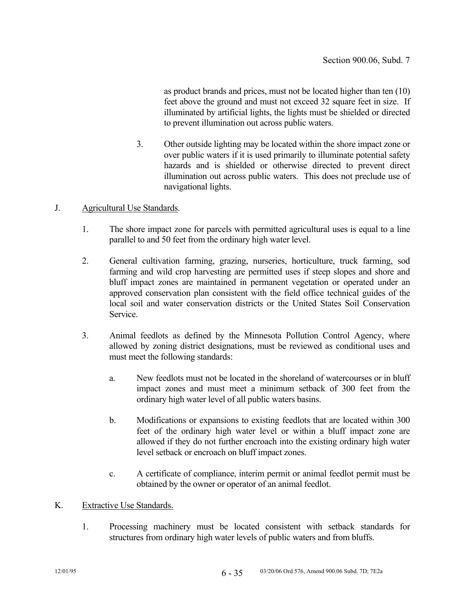as product brands and prices, must not be located higher than ten (10) feet above the ground and must not exceed 32 square feet in size. If illuminated by artificial lights, the lights must be shielded or directed to prevent illumination out across public waters.

 3. Other outside lighting may be located within the shore impact zone or over public waters if it is used primarily to illuminate potential safety hazards and is shielded or otherwise directed to prevent direct illumination out across public waters. This does not preclude use of navigational lights.

### J. Agricultural Use Standards.

- 1. The shore impact zone for parcels with permitted agricultural uses is equal to a line parallel to and 50 feet from the ordinary high water level.
- 2. General cultivation farming, grazing, nurseries, horticulture, truck farming, sod farming and wild crop harvesting are permitted uses if steep slopes and shore and bluff impact zones are maintained in permanent vegetation or operated under an approved conservation plan consistent with the field office technical guides of the local soil and water conservation districts or the United States Soil Conservation Service.
- 3. Animal feedlots as defined by the Minnesota Pollution Control Agency, where allowed by zoning district designations, must be reviewed as conditional uses and must meet the following standards:
	- a. New feedlots must not be located in the shoreland of watercourses or in bluff impact zones and must meet a minimum setback of 300 feet from the ordinary high water level of all public waters basins.
	- b. Modifications or expansions to existing feedlots that are located within 300 feet of the ordinary high water level or within a bluff impact zone are allowed if they do not further encroach into the existing ordinary high water level setback or encroach on bluff impact zones.
	- c. A certificate of compliance, interim permit or animal feedlot permit must be obtained by the owner or operator of an animal feedlot.

### K. Extractive Use Standards.

 1. Processing machinery must be located consistent with setback standards for structures from ordinary high water levels of public waters and from bluffs.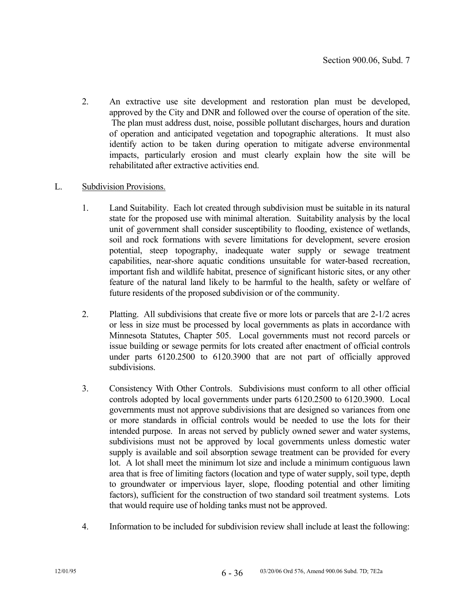2. An extractive use site development and restoration plan must be developed, approved by the City and DNR and followed over the course of operation of the site. The plan must address dust, noise, possible pollutant discharges, hours and duration of operation and anticipated vegetation and topographic alterations. It must also identify action to be taken during operation to mitigate adverse environmental impacts, particularly erosion and must clearly explain how the site will be rehabilitated after extractive activities end.

## L. Subdivision Provisions.

- 1. Land Suitability. Each lot created through subdivision must be suitable in its natural state for the proposed use with minimal alteration. Suitability analysis by the local unit of government shall consider susceptibility to flooding, existence of wetlands, soil and rock formations with severe limitations for development, severe erosion potential, steep topography, inadequate water supply or sewage treatment capabilities, near-shore aquatic conditions unsuitable for water-based recreation, important fish and wildlife habitat, presence of significant historic sites, or any other feature of the natural land likely to be harmful to the health, safety or welfare of future residents of the proposed subdivision or of the community.
- 2. Platting. All subdivisions that create five or more lots or parcels that are 2-1/2 acres or less in size must be processed by local governments as plats in accordance with Minnesota Statutes, Chapter 505. Local governments must not record parcels or issue building or sewage permits for lots created after enactment of official controls under parts 6120.2500 to 6120.3900 that are not part of officially approved subdivisions.
- 3. Consistency With Other Controls. Subdivisions must conform to all other official controls adopted by local governments under parts 6120.2500 to 6120.3900. Local governments must not approve subdivisions that are designed so variances from one or more standards in official controls would be needed to use the lots for their intended purpose. In areas not served by publicly owned sewer and water systems, subdivisions must not be approved by local governments unless domestic water supply is available and soil absorption sewage treatment can be provided for every lot. A lot shall meet the minimum lot size and include a minimum contiguous lawn area that is free of limiting factors (location and type of water supply, soil type, depth to groundwater or impervious layer, slope, flooding potential and other limiting factors), sufficient for the construction of two standard soil treatment systems. Lots that would require use of holding tanks must not be approved.
- 4. Information to be included for subdivision review shall include at least the following: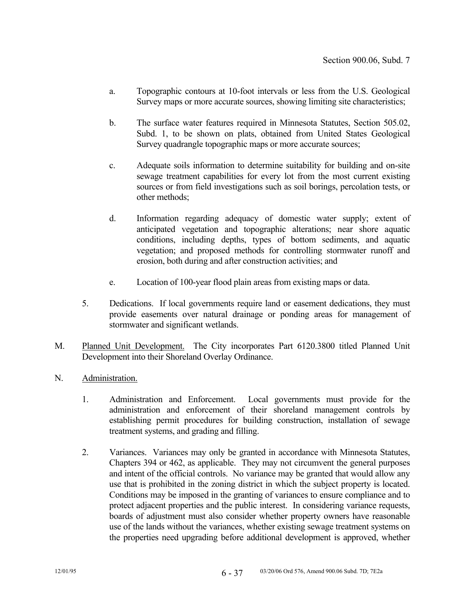- a. Topographic contours at 10-foot intervals or less from the U.S. Geological Survey maps or more accurate sources, showing limiting site characteristics;
- b. The surface water features required in Minnesota Statutes, Section 505.02, Subd. 1, to be shown on plats, obtained from United States Geological Survey quadrangle topographic maps or more accurate sources;
- c. Adequate soils information to determine suitability for building and on-site sewage treatment capabilities for every lot from the most current existing sources or from field investigations such as soil borings, percolation tests, or other methods;
- d. Information regarding adequacy of domestic water supply; extent of anticipated vegetation and topographic alterations; near shore aquatic conditions, including depths, types of bottom sediments, and aquatic vegetation; and proposed methods for controlling stormwater runoff and erosion, both during and after construction activities; and
- e. Location of 100-year flood plain areas from existing maps or data.
- 5. Dedications. If local governments require land or easement dedications, they must provide easements over natural drainage or ponding areas for management of stormwater and significant wetlands.
- M. Planned Unit Development. The City incorporates Part 6120.3800 titled Planned Unit Development into their Shoreland Overlay Ordinance.
- N. Administration.
	- 1. Administration and Enforcement. Local governments must provide for the administration and enforcement of their shoreland management controls by establishing permit procedures for building construction, installation of sewage treatment systems, and grading and filling.
	- 2. Variances. Variances may only be granted in accordance with Minnesota Statutes, Chapters 394 or 462, as applicable. They may not circumvent the general purposes and intent of the official controls. No variance may be granted that would allow any use that is prohibited in the zoning district in which the subject property is located. Conditions may be imposed in the granting of variances to ensure compliance and to protect adjacent properties and the public interest. In considering variance requests, boards of adjustment must also consider whether property owners have reasonable use of the lands without the variances, whether existing sewage treatment systems on the properties need upgrading before additional development is approved, whether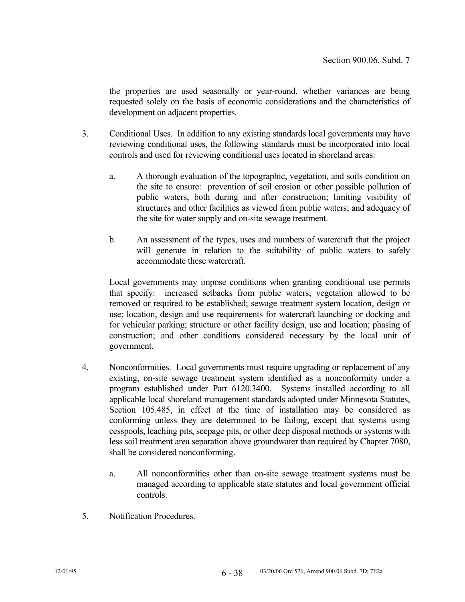the properties are used seasonally or year-round, whether variances are being requested solely on the basis of economic considerations and the characteristics of development on adjacent properties.

- 3. Conditional Uses. In addition to any existing standards local governments may have reviewing conditional uses, the following standards must be incorporated into local controls and used for reviewing conditional uses located in shoreland areas:
	- a. A thorough evaluation of the topographic, vegetation, and soils condition on the site to ensure: prevention of soil erosion or other possible pollution of public waters, both during and after construction; limiting visibility of structures and other facilities as viewed from public waters; and adequacy of the site for water supply and on-site sewage treatment.
	- b. An assessment of the types, uses and numbers of watercraft that the project will generate in relation to the suitability of public waters to safely accommodate these watercraft.

 Local governments may impose conditions when granting conditional use permits that specify: increased setbacks from public waters; vegetation allowed to be removed or required to be established; sewage treatment system location, design or use; location, design and use requirements for watercraft launching or docking and for vehicular parking; structure or other facility design, use and location; phasing of construction; and other conditions considered necessary by the local unit of government.

- 4. Nonconformities. Local governments must require upgrading or replacement of any existing, on-site sewage treatment system identified as a nonconformity under a program established under Part 6120.3400. Systems installed according to all applicable local shoreland management standards adopted under Minnesota Statutes, Section 105.485, in effect at the time of installation may be considered as conforming unless they are determined to be failing, except that systems using cesspools, leaching pits, seepage pits, or other deep disposal methods or systems with less soil treatment area separation above groundwater than required by Chapter 7080, shall be considered nonconforming.
	- a. All nonconformities other than on-site sewage treatment systems must be managed according to applicable state statutes and local government official controls.
- 5. Notification Procedures.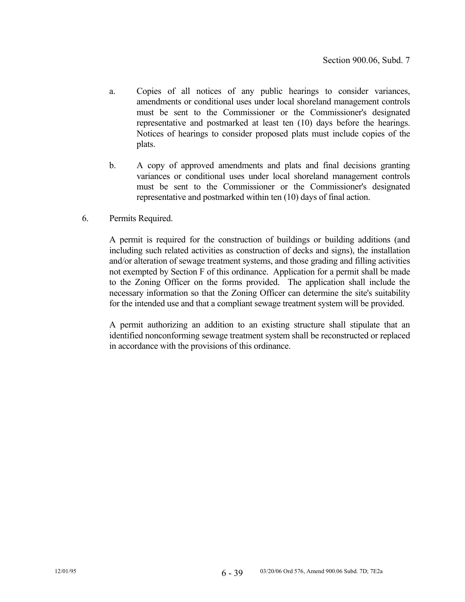- a. Copies of all notices of any public hearings to consider variances, amendments or conditional uses under local shoreland management controls must be sent to the Commissioner or the Commissioner's designated representative and postmarked at least ten (10) days before the hearings. Notices of hearings to consider proposed plats must include copies of the plats.
- b. A copy of approved amendments and plats and final decisions granting variances or conditional uses under local shoreland management controls must be sent to the Commissioner or the Commissioner's designated representative and postmarked within ten (10) days of final action.
- 6. Permits Required.

 A permit is required for the construction of buildings or building additions (and including such related activities as construction of decks and signs), the installation and/or alteration of sewage treatment systems, and those grading and filling activities not exempted by Section F of this ordinance. Application for a permit shall be made to the Zoning Officer on the forms provided. The application shall include the necessary information so that the Zoning Officer can determine the site's suitability for the intended use and that a compliant sewage treatment system will be provided.

 A permit authorizing an addition to an existing structure shall stipulate that an identified nonconforming sewage treatment system shall be reconstructed or replaced in accordance with the provisions of this ordinance.